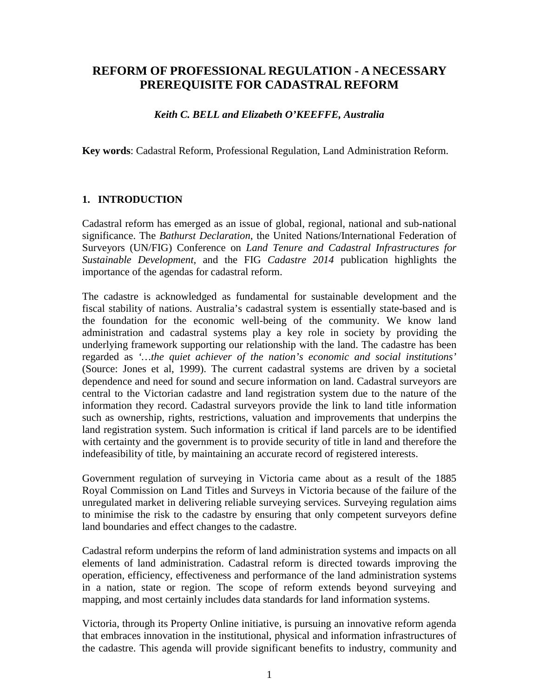# **REFORM OF PROFESSIONAL REGULATION - A NECESSARY PREREQUISITE FOR CADASTRAL REFORM**

#### *Keith C. BELL and Elizabeth O'KEEFFE, Australia*

**Key words**: Cadastral Reform, Professional Regulation, Land Administration Reform.

#### **1. INTRODUCTION**

Cadastral reform has emerged as an issue of global, regional, national and sub-national significance. The *Bathurst Declaration*, the United Nations/International Federation of Surveyors (UN/FIG) Conference on *Land Tenure and Cadastral Infrastructures for Sustainable Development*, and the FIG *Cadastre 2014* publication highlights the importance of the agendas for cadastral reform.

The cadastre is acknowledged as fundamental for sustainable development and the fiscal stability of nations. Australia's cadastral system is essentially state-based and is the foundation for the economic well-being of the community. We know land administration and cadastral systems play a key role in society by providing the underlying framework supporting our relationship with the land. The cadastre has been regarded as *'…the quiet achiever of the nation's economic and social institutions'* (Source: Jones et al, 1999). The current cadastral systems are driven by a societal dependence and need for sound and secure information on land. Cadastral surveyors are central to the Victorian cadastre and land registration system due to the nature of the information they record. Cadastral surveyors provide the link to land title information such as ownership, rights, restrictions, valuation and improvements that underpins the land registration system. Such information is critical if land parcels are to be identified with certainty and the government is to provide security of title in land and therefore the indefeasibility of title, by maintaining an accurate record of registered interests.

Government regulation of surveying in Victoria came about as a result of the 1885 Royal Commission on Land Titles and Surveys in Victoria because of the failure of the unregulated market in delivering reliable surveying services. Surveying regulation aims to minimise the risk to the cadastre by ensuring that only competent surveyors define land boundaries and effect changes to the cadastre.

Cadastral reform underpins the reform of land administration systems and impacts on all elements of land administration. Cadastral reform is directed towards improving the operation, efficiency, effectiveness and performance of the land administration systems in a nation, state or region. The scope of reform extends beyond surveying and mapping, and most certainly includes data standards for land information systems.

Victoria, through its Property Online initiative, is pursuing an innovative reform agenda that embraces innovation in the institutional, physical and information infrastructures of the cadastre. This agenda will provide significant benefits to industry, community and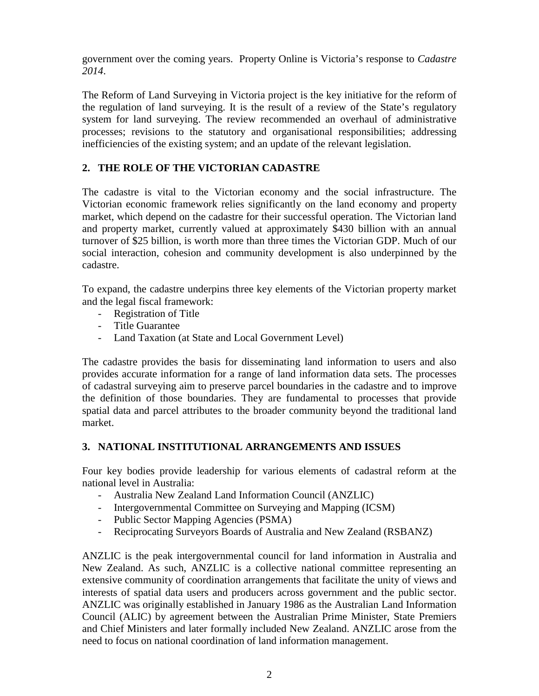government over the coming years. Property Online is Victoria's response to *Cadastre 2014*.

The Reform of Land Surveying in Victoria project is the key initiative for the reform of the regulation of land surveying. It is the result of a review of the State's regulatory system for land surveying. The review recommended an overhaul of administrative processes; revisions to the statutory and organisational responsibilities; addressing inefficiencies of the existing system; and an update of the relevant legislation.

### **2. THE ROLE OF THE VICTORIAN CADASTRE**

The cadastre is vital to the Victorian economy and the social infrastructure. The Victorian economic framework relies significantly on the land economy and property market, which depend on the cadastre for their successful operation. The Victorian land and property market, currently valued at approximately \$430 billion with an annual turnover of \$25 billion, is worth more than three times the Victorian GDP. Much of our social interaction, cohesion and community development is also underpinned by the cadastre.

To expand, the cadastre underpins three key elements of the Victorian property market and the legal fiscal framework:

- Registration of Title
- Title Guarantee
- Land Taxation (at State and Local Government Level)

The cadastre provides the basis for disseminating land information to users and also provides accurate information for a range of land information data sets. The processes of cadastral surveying aim to preserve parcel boundaries in the cadastre and to improve the definition of those boundaries. They are fundamental to processes that provide spatial data and parcel attributes to the broader community beyond the traditional land market.

#### **3. NATIONAL INSTITUTIONAL ARRANGEMENTS AND ISSUES**

Four key bodies provide leadership for various elements of cadastral reform at the national level in Australia:

- Australia New Zealand Land Information Council (ANZLIC)
- Intergovernmental Committee on Surveying and Mapping (ICSM)
- Public Sector Mapping Agencies (PSMA)
- Reciprocating Surveyors Boards of Australia and New Zealand (RSBANZ)

ANZLIC is the peak intergovernmental council for land information in Australia and New Zealand. As such, ANZLIC is a collective national committee representing an extensive community of coordination arrangements that facilitate the unity of views and interests of spatial data users and producers across government and the public sector. ANZLIC was originally established in January 1986 as the Australian Land Information Council (ALIC) by agreement between the Australian Prime Minister, State Premiers and Chief Ministers and later formally included New Zealand. ANZLIC arose from the need to focus on national coordination of land information management.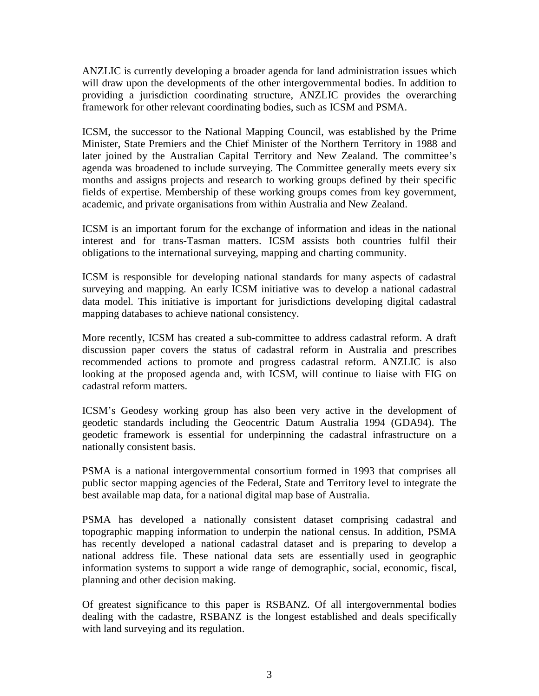ANZLIC is currently developing a broader agenda for land administration issues which will draw upon the developments of the other intergovernmental bodies. In addition to providing a jurisdiction coordinating structure, ANZLIC provides the overarching framework for other relevant coordinating bodies, such as ICSM and PSMA.

ICSM, the successor to the National Mapping Council, was established by the Prime Minister, State Premiers and the Chief Minister of the Northern Territory in 1988 and later joined by the Australian Capital Territory and New Zealand. The committee's agenda was broadened to include surveying. The Committee generally meets every six months and assigns projects and research to working groups defined by their specific fields of expertise. Membership of these working groups comes from key government, academic, and private organisations from within Australia and New Zealand.

ICSM is an important forum for the exchange of information and ideas in the national interest and for trans-Tasman matters. ICSM assists both countries fulfil their obligations to the international surveying, mapping and charting community.

ICSM is responsible for developing national standards for many aspects of cadastral surveying and mapping. An early ICSM initiative was to develop a national cadastral data model. This initiative is important for jurisdictions developing digital cadastral mapping databases to achieve national consistency.

More recently, ICSM has created a sub-committee to address cadastral reform. A draft discussion paper covers the status of cadastral reform in Australia and prescribes recommended actions to promote and progress cadastral reform. ANZLIC is also looking at the proposed agenda and, with ICSM, will continue to liaise with FIG on cadastral reform matters.

ICSM's Geodesy working group has also been very active in the development of geodetic standards including the Geocentric Datum Australia 1994 (GDA94). The geodetic framework is essential for underpinning the cadastral infrastructure on a nationally consistent basis.

PSMA is a national intergovernmental consortium formed in 1993 that comprises all public sector mapping agencies of the Federal, State and Territory level to integrate the best available map data, for a national digital map base of Australia.

PSMA has developed a nationally consistent dataset comprising cadastral and topographic mapping information to underpin the national census. In addition, PSMA has recently developed a national cadastral dataset and is preparing to develop a national address file. These national data sets are essentially used in geographic information systems to support a wide range of demographic, social, economic, fiscal, planning and other decision making.

Of greatest significance to this paper is RSBANZ. Of all intergovernmental bodies dealing with the cadastre, RSBANZ is the longest established and deals specifically with land surveying and its regulation.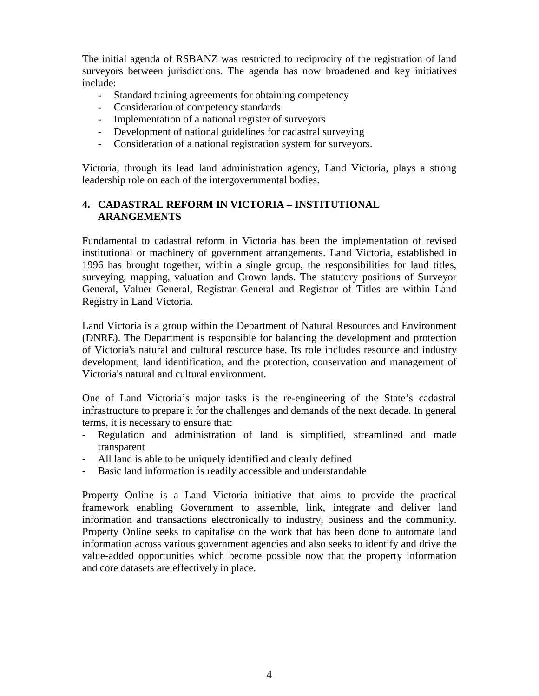The initial agenda of RSBANZ was restricted to reciprocity of the registration of land surveyors between jurisdictions. The agenda has now broadened and key initiatives include:

- Standard training agreements for obtaining competency
- Consideration of competency standards
- Implementation of a national register of surveyors
- Development of national guidelines for cadastral surveying
- Consideration of a national registration system for surveyors.

Victoria, through its lead land administration agency, Land Victoria, plays a strong leadership role on each of the intergovernmental bodies.

# **4. CADASTRAL REFORM IN VICTORIA – INSTITUTIONAL ARANGEMENTS**

Fundamental to cadastral reform in Victoria has been the implementation of revised institutional or machinery of government arrangements. Land Victoria, established in 1996 has brought together, within a single group, the responsibilities for land titles, surveying, mapping, valuation and Crown lands. The statutory positions of Surveyor General, Valuer General, Registrar General and Registrar of Titles are within Land Registry in Land Victoria.

Land Victoria is a group within the Department of Natural Resources and Environment (DNRE). The Department is responsible for balancing the development and protection of Victoria's natural and cultural resource base. Its role includes resource and industry development, land identification, and the protection, conservation and management of Victoria's natural and cultural environment.

One of Land Victoria's major tasks is the re-engineering of the State's cadastral infrastructure to prepare it for the challenges and demands of the next decade. In general terms, it is necessary to ensure that:

- Regulation and administration of land is simplified, streamlined and made transparent
- All land is able to be uniquely identified and clearly defined
- Basic land information is readily accessible and understandable

Property Online is a Land Victoria initiative that aims to provide the practical framework enabling Government to assemble, link, integrate and deliver land information and transactions electronically to industry, business and the community. Property Online seeks to capitalise on the work that has been done to automate land information across various government agencies and also seeks to identify and drive the value-added opportunities which become possible now that the property information and core datasets are effectively in place.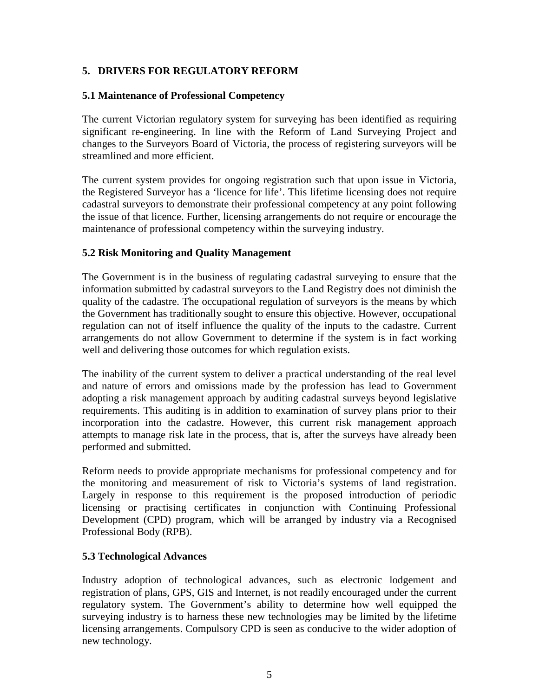# **5. DRIVERS FOR REGULATORY REFORM**

### **5.1 Maintenance of Professional Competency**

The current Victorian regulatory system for surveying has been identified as requiring significant re-engineering. In line with the Reform of Land Surveying Project and changes to the Surveyors Board of Victoria, the process of registering surveyors will be streamlined and more efficient.

The current system provides for ongoing registration such that upon issue in Victoria, the Registered Surveyor has a 'licence for life'. This lifetime licensing does not require cadastral surveyors to demonstrate their professional competency at any point following the issue of that licence. Further, licensing arrangements do not require or encourage the maintenance of professional competency within the surveying industry.

### **5.2 Risk Monitoring and Quality Management**

The Government is in the business of regulating cadastral surveying to ensure that the information submitted by cadastral surveyors to the Land Registry does not diminish the quality of the cadastre. The occupational regulation of surveyors is the means by which the Government has traditionally sought to ensure this objective. However, occupational regulation can not of itself influence the quality of the inputs to the cadastre. Current arrangements do not allow Government to determine if the system is in fact working well and delivering those outcomes for which regulation exists.

The inability of the current system to deliver a practical understanding of the real level and nature of errors and omissions made by the profession has lead to Government adopting a risk management approach by auditing cadastral surveys beyond legislative requirements. This auditing is in addition to examination of survey plans prior to their incorporation into the cadastre. However, this current risk management approach attempts to manage risk late in the process, that is, after the surveys have already been performed and submitted.

Reform needs to provide appropriate mechanisms for professional competency and for the monitoring and measurement of risk to Victoria's systems of land registration. Largely in response to this requirement is the proposed introduction of periodic licensing or practising certificates in conjunction with Continuing Professional Development (CPD) program, which will be arranged by industry via a Recognised Professional Body (RPB).

# **5.3 Technological Advances**

Industry adoption of technological advances, such as electronic lodgement and registration of plans, GPS, GIS and Internet, is not readily encouraged under the current regulatory system. The Government's ability to determine how well equipped the surveying industry is to harness these new technologies may be limited by the lifetime licensing arrangements. Compulsory CPD is seen as conducive to the wider adoption of new technology.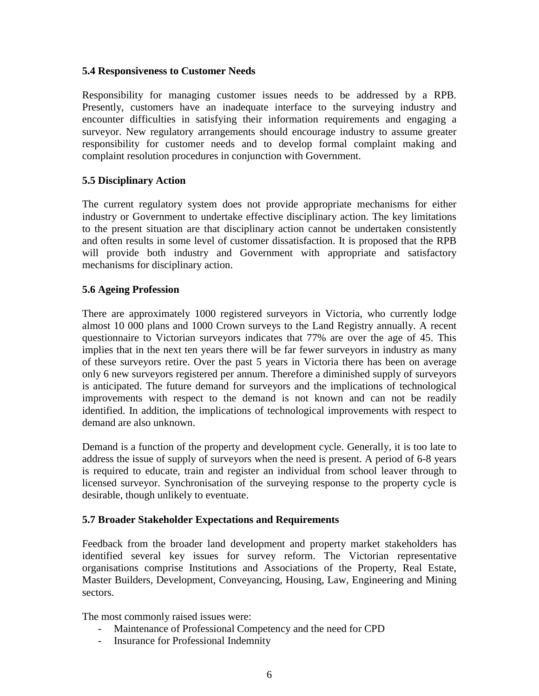#### **5.4 Responsiveness to Customer Needs**

Responsibility for managing customer issues needs to be addressed by a RPB. Presently, customers have an inadequate interface to the surveying industry and encounter difficulties in satisfying their information requirements and engaging a surveyor. New regulatory arrangements should encourage industry to assume greater responsibility for customer needs and to develop formal complaint making and complaint resolution procedures in conjunction with Government.

#### **5.5 Disciplinary Action**

The current regulatory system does not provide appropriate mechanisms for either industry or Government to undertake effective disciplinary action. The key limitations to the present situation are that disciplinary action cannot be undertaken consistently and often results in some level of customer dissatisfaction. It is proposed that the RPB will provide both industry and Government with appropriate and satisfactory mechanisms for disciplinary action.

#### **5.6 Ageing Profession**

There are approximately 1000 registered surveyors in Victoria, who currently lodge almost 10 000 plans and 1000 Crown surveys to the Land Registry annually. A recent questionnaire to Victorian surveyors indicates that 77% are over the age of 45. This implies that in the next ten years there will be far fewer surveyors in industry as many of these surveyors retire. Over the past 5 years in Victoria there has been on average only 6 new surveyors registered per annum. Therefore a diminished supply of surveyors is anticipated. The future demand for surveyors and the implications of technological improvements with respect to the demand is not known and can not be readily identified. In addition, the implications of technological improvements with respect to demand are also unknown.

Demand is a function of the property and development cycle. Generally, it is too late to address the issue of supply of surveyors when the need is present. A period of 6-8 years is required to educate, train and register an individual from school leaver through to licensed surveyor. Synchronisation of the surveying response to the property cycle is desirable, though unlikely to eventuate.

#### **5.7 Broader Stakeholder Expectations and Requirements**

Feedback from the broader land development and property market stakeholders has identified several key issues for survey reform. The Victorian representative organisations comprise Institutions and Associations of the Property, Real Estate, Master Builders, Development, Conveyancing, Housing, Law, Engineering and Mining sectors.

The most commonly raised issues were:

- Maintenance of Professional Competency and the need for CPD
- Insurance for Professional Indemnity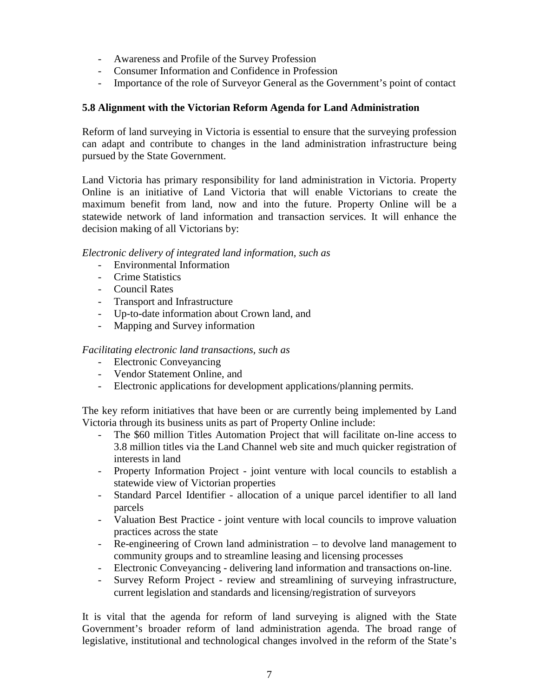- Awareness and Profile of the Survey Profession
- Consumer Information and Confidence in Profession
- Importance of the role of Surveyor General as the Government's point of contact

### **5.8 Alignment with the Victorian Reform Agenda for Land Administration**

Reform of land surveying in Victoria is essential to ensure that the surveying profession can adapt and contribute to changes in the land administration infrastructure being pursued by the State Government.

Land Victoria has primary responsibility for land administration in Victoria. Property Online is an initiative of Land Victoria that will enable Victorians to create the maximum benefit from land, now and into the future. Property Online will be a statewide network of land information and transaction services. It will enhance the decision making of all Victorians by:

*Electronic delivery of integrated land information, such as*

- Environmental Information
- Crime Statistics
- Council Rates
- Transport and Infrastructure
- Up-to-date information about Crown land, and
- Mapping and Survey information

#### *Facilitating electronic land transactions, such as*

- Electronic Conveyancing
- Vendor Statement Online, and
- Electronic applications for development applications/planning permits.

The key reform initiatives that have been or are currently being implemented by Land Victoria through its business units as part of Property Online include:

- The \$60 million Titles Automation Project that will facilitate on-line access to 3.8 million titles via the Land Channel web site and much quicker registration of interests in land
- Property Information Project joint venture with local councils to establish a statewide view of Victorian properties
- Standard Parcel Identifier allocation of a unique parcel identifier to all land parcels
- Valuation Best Practice joint venture with local councils to improve valuation practices across the state
- Re-engineering of Crown land administration to devolve land management to community groups and to streamline leasing and licensing processes
- Electronic Conveyancing delivering land information and transactions on-line.
- Survey Reform Project review and streamlining of surveying infrastructure, current legislation and standards and licensing/registration of surveyors

It is vital that the agenda for reform of land surveying is aligned with the State Government's broader reform of land administration agenda. The broad range of legislative, institutional and technological changes involved in the reform of the State's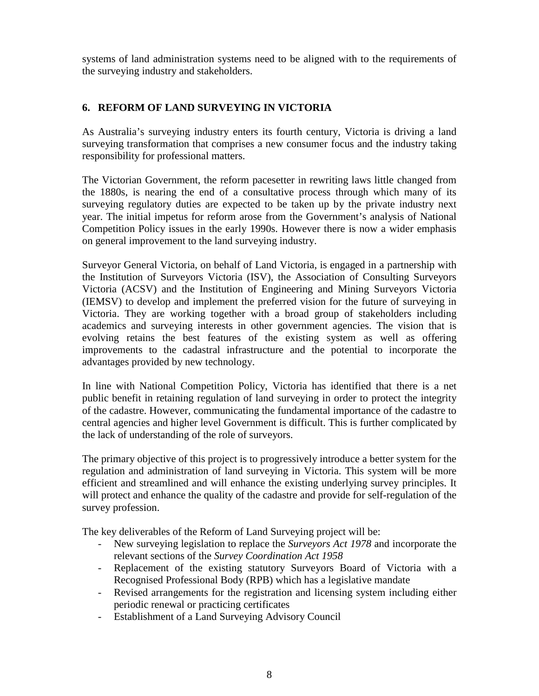systems of land administration systems need to be aligned with to the requirements of the surveying industry and stakeholders.

# **6. REFORM OF LAND SURVEYING IN VICTORIA**

As Australia's surveying industry enters its fourth century, Victoria is driving a land surveying transformation that comprises a new consumer focus and the industry taking responsibility for professional matters.

The Victorian Government, the reform pacesetter in rewriting laws little changed from the 1880s, is nearing the end of a consultative process through which many of its surveying regulatory duties are expected to be taken up by the private industry next year. The initial impetus for reform arose from the Government's analysis of National Competition Policy issues in the early 1990s. However there is now a wider emphasis on general improvement to the land surveying industry.

Surveyor General Victoria, on behalf of Land Victoria, is engaged in a partnership with the Institution of Surveyors Victoria (ISV), the Association of Consulting Surveyors Victoria (ACSV) and the Institution of Engineering and Mining Surveyors Victoria (IEMSV) to develop and implement the preferred vision for the future of surveying in Victoria. They are working together with a broad group of stakeholders including academics and surveying interests in other government agencies. The vision that is evolving retains the best features of the existing system as well as offering improvements to the cadastral infrastructure and the potential to incorporate the advantages provided by new technology.

In line with National Competition Policy, Victoria has identified that there is a net public benefit in retaining regulation of land surveying in order to protect the integrity of the cadastre. However, communicating the fundamental importance of the cadastre to central agencies and higher level Government is difficult. This is further complicated by the lack of understanding of the role of surveyors.

The primary objective of this project is to progressively introduce a better system for the regulation and administration of land surveying in Victoria. This system will be more efficient and streamlined and will enhance the existing underlying survey principles. It will protect and enhance the quality of the cadastre and provide for self-regulation of the survey profession.

The key deliverables of the Reform of Land Surveying project will be:

- New surveying legislation to replace the *Surveyors Act 1978* and incorporate the relevant sections of the *Survey Coordination Act 1958*
- Replacement of the existing statutory Surveyors Board of Victoria with a Recognised Professional Body (RPB) which has a legislative mandate
- Revised arrangements for the registration and licensing system including either periodic renewal or practicing certificates
- Establishment of a Land Surveying Advisory Council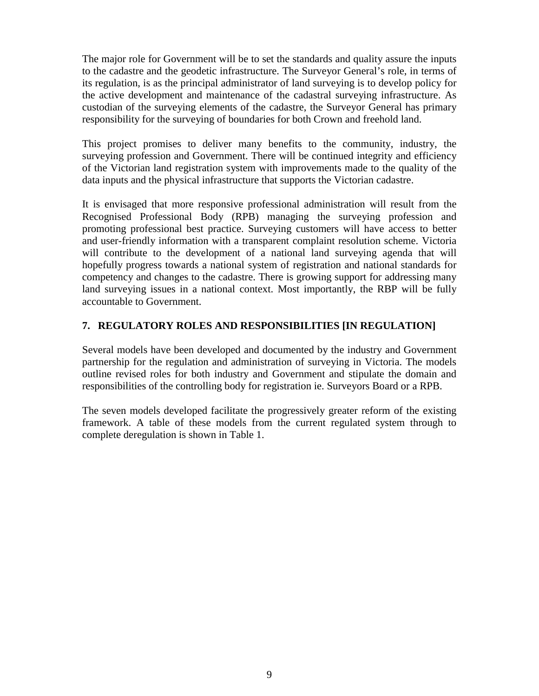The major role for Government will be to set the standards and quality assure the inputs to the cadastre and the geodetic infrastructure. The Surveyor General's role, in terms of its regulation, is as the principal administrator of land surveying is to develop policy for the active development and maintenance of the cadastral surveying infrastructure. As custodian of the surveying elements of the cadastre, the Surveyor General has primary responsibility for the surveying of boundaries for both Crown and freehold land.

This project promises to deliver many benefits to the community, industry, the surveying profession and Government. There will be continued integrity and efficiency of the Victorian land registration system with improvements made to the quality of the data inputs and the physical infrastructure that supports the Victorian cadastre.

It is envisaged that more responsive professional administration will result from the Recognised Professional Body (RPB) managing the surveying profession and promoting professional best practice. Surveying customers will have access to better and user-friendly information with a transparent complaint resolution scheme. Victoria will contribute to the development of a national land surveying agenda that will hopefully progress towards a national system of registration and national standards for competency and changes to the cadastre. There is growing support for addressing many land surveying issues in a national context. Most importantly, the RBP will be fully accountable to Government.

# **7. REGULATORY ROLES AND RESPONSIBILITIES [IN REGULATION]**

Several models have been developed and documented by the industry and Government partnership for the regulation and administration of surveying in Victoria. The models outline revised roles for both industry and Government and stipulate the domain and responsibilities of the controlling body for registration ie. Surveyors Board or a RPB.

The seven models developed facilitate the progressively greater reform of the existing framework. A table of these models from the current regulated system through to complete deregulation is shown in Table 1.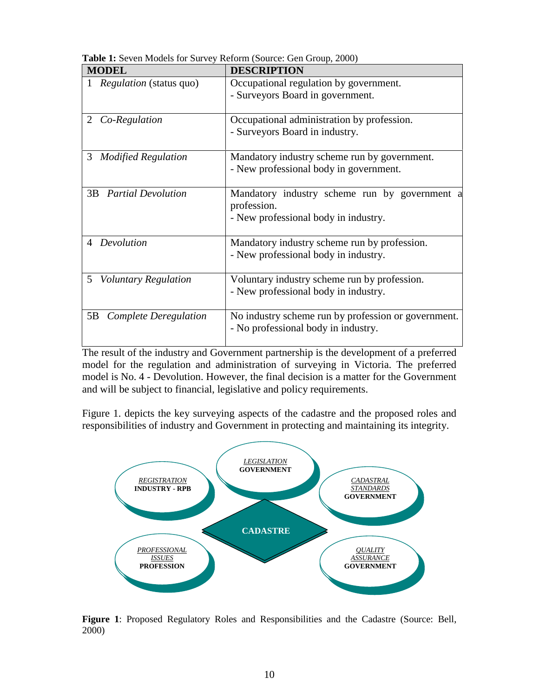| <b>MODEL</b>                    | <b>DESCRIPTION</b>                                                                                   |
|---------------------------------|------------------------------------------------------------------------------------------------------|
| <i>Regulation</i> (status quo)  | Occupational regulation by government.<br>- Surveyors Board in government.                           |
| Co-Regulation                   | Occupational administration by profession.                                                           |
| 2                               | - Surveyors Board in industry.                                                                       |
| 3                               | Mandatory industry scheme run by government.                                                         |
| <b>Modified Regulation</b>      | - New professional body in government.                                                               |
| 3B<br><b>Partial Devolution</b> | Mandatory industry scheme run by government a<br>profession.<br>- New professional body in industry. |
| Devolution                      | Mandatory industry scheme run by profession.<br>- New professional body in industry.                 |
| 5                               | Voluntary industry scheme run by profession.                                                         |
| <b>Voluntary Regulation</b>     | - New professional body in industry.                                                                 |
| 5B                              | No industry scheme run by profession or government.                                                  |
| Complete Deregulation           | - No professional body in industry.                                                                  |

**Table 1:** Seven Models for Survey Reform (Source: Gen Group, 2000)

The result of the industry and Government partnership is the development of a preferred model for the regulation and administration of surveying in Victoria. The preferred model is No. 4 - Devolution. However, the final decision is a matter for the Government and will be subject to financial, legislative and policy requirements.

Figure 1. depicts the key surveying aspects of the cadastre and the proposed roles and responsibilities of industry and Government in protecting and maintaining its integrity.



**Figure 1**: Proposed Regulatory Roles and Responsibilities and the Cadastre (Source: Bell, 2000)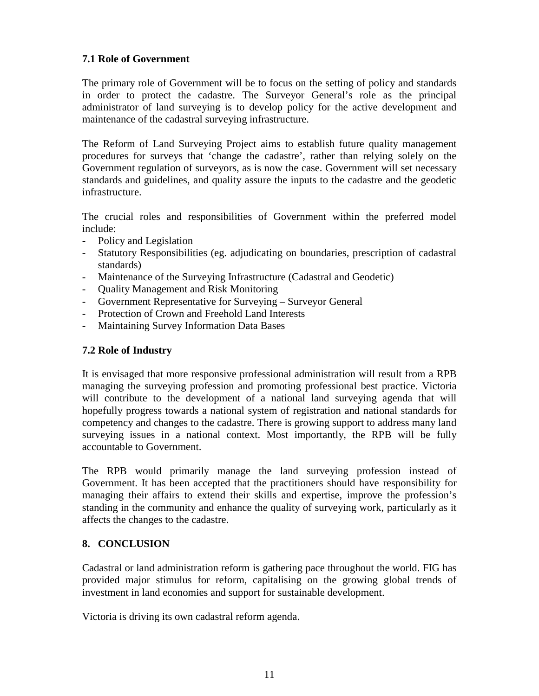# **7.1 Role of Government**

The primary role of Government will be to focus on the setting of policy and standards in order to protect the cadastre. The Surveyor General's role as the principal administrator of land surveying is to develop policy for the active development and maintenance of the cadastral surveying infrastructure.

The Reform of Land Surveying Project aims to establish future quality management procedures for surveys that 'change the cadastre', rather than relying solely on the Government regulation of surveyors, as is now the case. Government will set necessary standards and guidelines, and quality assure the inputs to the cadastre and the geodetic infrastructure.

The crucial roles and responsibilities of Government within the preferred model include:

- Policy and Legislation
- Statutory Responsibilities (eg. adjudicating on boundaries, prescription of cadastral standards)
- Maintenance of the Surveying Infrastructure (Cadastral and Geodetic)
- Quality Management and Risk Monitoring
- Government Representative for Surveying Surveyor General
- Protection of Crown and Freehold Land Interests
- Maintaining Survey Information Data Bases

#### **7.2 Role of Industry**

It is envisaged that more responsive professional administration will result from a RPB managing the surveying profession and promoting professional best practice. Victoria will contribute to the development of a national land surveying agenda that will hopefully progress towards a national system of registration and national standards for competency and changes to the cadastre. There is growing support to address many land surveying issues in a national context. Most importantly, the RPB will be fully accountable to Government.

The RPB would primarily manage the land surveying profession instead of Government. It has been accepted that the practitioners should have responsibility for managing their affairs to extend their skills and expertise, improve the profession's standing in the community and enhance the quality of surveying work, particularly as it affects the changes to the cadastre.

# **8. CONCLUSION**

Cadastral or land administration reform is gathering pace throughout the world. FIG has provided major stimulus for reform, capitalising on the growing global trends of investment in land economies and support for sustainable development.

Victoria is driving its own cadastral reform agenda.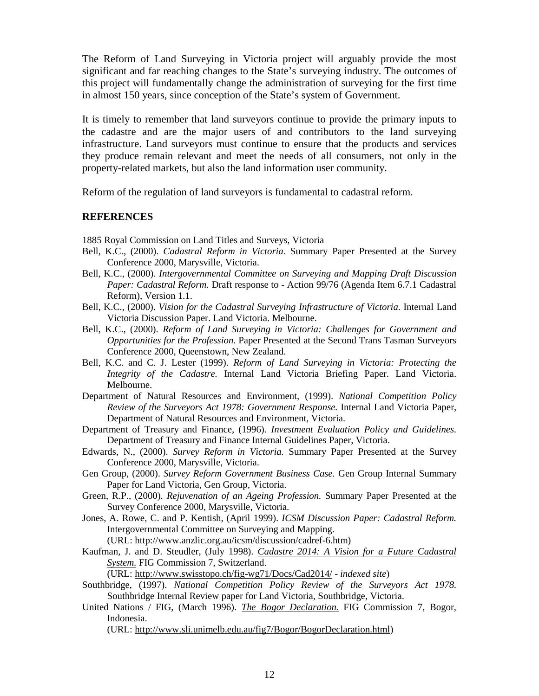The Reform of Land Surveying in Victoria project will arguably provide the most significant and far reaching changes to the State's surveying industry. The outcomes of this project will fundamentally change the administration of surveying for the first time in almost 150 years, since conception of the State's system of Government.

It is timely to remember that land surveyors continue to provide the primary inputs to the cadastre and are the major users of and contributors to the land surveying infrastructure. Land surveyors must continue to ensure that the products and services they produce remain relevant and meet the needs of all consumers, not only in the property-related markets, but also the land information user community.

Reform of the regulation of land surveyors is fundamental to cadastral reform.

#### **REFERENCES**

1885 Royal Commission on Land Titles and Surveys, Victoria

- Bell, K.C., (2000). *Cadastral Reform in Victoria.* Summary Paper Presented at the Survey Conference 2000, Marysville, Victoria.
- Bell, K.C., (2000). *Intergovernmental Committee on Surveying and Mapping Draft Discussion Paper: Cadastral Reform.* Draft response to - Action 99/76 (Agenda Item 6.7.1 Cadastral Reform), Version 1.1.
- Bell, K.C., (2000). *Vision for the Cadastral Surveying Infrastructure of Victoria*. Internal Land Victoria Discussion Paper. Land Victoria. Melbourne.
- Bell, K.C., (2000). *Reform of Land Surveying in Victoria: Challenges for Government and Opportunities for the Profession*. Paper Presented at the Second Trans Tasman Surveyors Conference 2000, Queenstown, New Zealand.
- Bell, K.C. and C. J. Lester (1999). *Reform of Land Surveying in Victoria: Protecting the Integrity of the Cadastre.* Internal Land Victoria Briefing Paper. Land Victoria. Melbourne.
- Department of Natural Resources and Environment, (1999). *National Competition Policy Review of the Surveyors Act 1978: Government Response.* Internal Land Victoria Paper, Department of Natural Resources and Environment, Victoria.
- Department of Treasury and Finance, (1996). *Investment Evaluation Policy and Guidelines.* Department of Treasury and Finance Internal Guidelines Paper, Victoria.
- Edwards, N., (2000). *Survey Reform in Victoria.* Summary Paper Presented at the Survey Conference 2000, Marysville, Victoria.
- Gen Group, (2000). *Survey Reform Government Business Case.* Gen Group Internal Summary Paper for Land Victoria, Gen Group, Victoria.
- Green, R.P., (2000). *Rejuvenation of an Ageing Profession.* Summary Paper Presented at the Survey Conference 2000, Marysville, Victoria.
- Jones, A. Rowe, C. and P. Kentish, (April 1999). *ICSM Discussion Paper: Cadastral Reform.* Intergovernmental Committee on Surveying and Mapping. (URL: http://www.anzlic.org.au/icsm/discussion/cadref-6.htm)
- Kaufman, J. and D. Steudler, (July 1998). *Cadastre 2014: A Vision for a Future Cadastral System.* FIG Commission 7, Switzerland.

(URL: http://www.swisstopo.ch/fig-wg71/Docs/Cad2014/ - *indexed site*)

- Southbridge, (1997). *National Competition Policy Review of the Surveyors Act 1978.* Southbridge Internal Review paper for Land Victoria, Southbridge, Victoria.
- United Nations / FIG, (March 1996). *The Bogor Declaration.* FIG Commission 7, Bogor, Indonesia.

(URL: http://www.sli.unimelb.edu.au/fig7/Bogor/BogorDeclaration.html)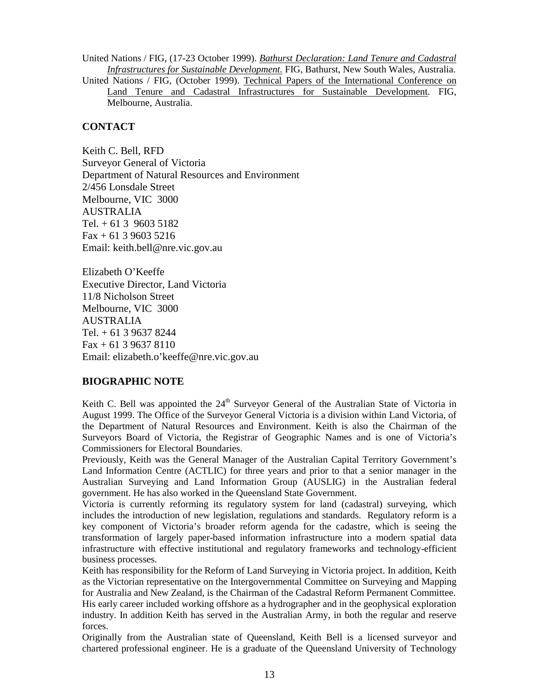United Nations / FIG, (17-23 October 1999). *Bathurst Declaration: Land Tenure and Cadastral Infrastructures for Sustainable Development.* FIG, Bathurst, New South Wales, Australia. United Nations / FIG, (October 1999). Technical Papers of the International Conference on

Land Tenure and Cadastral Infrastructures for Sustainable Development. FIG, Melbourne, Australia.

#### **CONTACT**

Keith C. Bell, RFD Surveyor General of Victoria Department of Natural Resources and Environment 2/456 Lonsdale Street Melbourne, VIC 3000 AUSTRALIA Tel.  $+$  61 3 9603 5182  $Fax + 61 3 9603 5216$ Email: keith.bell@nre.vic.gov.au

Elizabeth O'Keeffe Executive Director, Land Victoria 11/8 Nicholson Street Melbourne, VIC 3000 AUSTRALIA Tel. + 61 3 9637 8244  $Fax + 61 3 9637 8110$ Email: elizabeth.o'keeffe@nre.vic.gov.au

#### **BIOGRAPHIC NOTE**

Keith C. Bell was appointed the  $24<sup>th</sup>$  Surveyor General of the Australian State of Victoria in August 1999. The Office of the Surveyor General Victoria is a division within Land Victoria, of the Department of Natural Resources and Environment. Keith is also the Chairman of the Surveyors Board of Victoria, the Registrar of Geographic Names and is one of Victoria's Commissioners for Electoral Boundaries.

Previously, Keith was the General Manager of the Australian Capital Territory Government's Land Information Centre (ACTLIC) for three years and prior to that a senior manager in the Australian Surveying and Land Information Group (AUSLIG) in the Australian federal government. He has also worked in the Queensland State Government.

Victoria is currently reforming its regulatory system for land (cadastral) surveying, which includes the introduction of new legislation, regulations and standards. Regulatory reform is a key component of Victoria's broader reform agenda for the cadastre, which is seeing the transformation of largely paper-based information infrastructure into a modern spatial data infrastructure with effective institutional and regulatory frameworks and technology-efficient business processes.

Keith has responsibility for the Reform of Land Surveying in Victoria project. In addition, Keith as the Victorian representative on the Intergovernmental Committee on Surveying and Mapping for Australia and New Zealand, is the Chairman of the Cadastral Reform Permanent Committee. His early career included working offshore as a hydrographer and in the geophysical exploration industry. In addition Keith has served in the Australian Army, in both the regular and reserve forces.

Originally from the Australian state of Queensland, Keith Bell is a licensed surveyor and chartered professional engineer. He is a graduate of the Queensland University of Technology